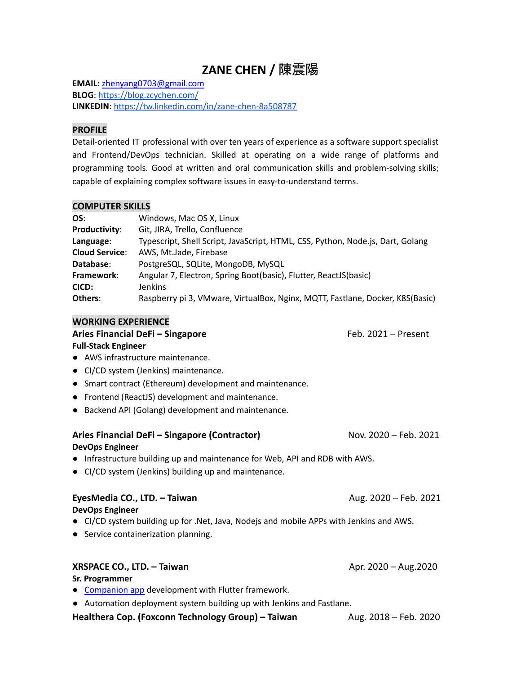# **ZANE CHEN /** 陳震陽

**EMAIL:** [zhenyang0703@gmail.com](mailto:zhenyang0703@gmail.com) **BLOG**: <https://blog.zcychen.com/> **LINKEDIN**: <https://tw.linkedin.com/in/zane-chen-8a508787>

#### **PROFILE**

Detail-oriented IT professional with over ten years of experience as a software support specialist and Frontend/DevOps technician. Skilled at operating on a wide range of platforms and programming tools. Good at written and oral communication skills and problem-solving skills; capable of explaining complex software issues in easy-to-understand terms.

### **COMPUTER SKILLS**

| OS:                   | Windows, Mac OS X, Linux                                                       |
|-----------------------|--------------------------------------------------------------------------------|
| Productivity:         | Git, JIRA, Trello, Confluence                                                  |
| Language:             | Typescript, Shell Script, JavaScript, HTML, CSS, Python, Node.js, Dart, Golang |
| <b>Cloud Service:</b> | AWS, Mt.Jade, Firebase                                                         |
| Database:             | PostgreSQL, SQLite, MongoDB, MySQL                                             |
| Framework:            | Angular 7, Electron, Spring Boot(basic), Flutter, ReactJS(basic)               |
| CICD:                 | <b>Jenkins</b>                                                                 |
| Others:               | Raspberry pi 3, VMware, VirtualBox, Nginx, MQTT, Fastlane, Docker, K8S(Basic)  |

### **WORKING EXPERIENCE**

# Aries Financial DeFi – Singapore **Feb. 2021** – Present **Full-Stack Engineer**

- AWS infrastructure maintenance.
- CI/CD system (Jenkins) maintenance.
- Smart contract (Ethereum) development and maintenance.
- Frontend (ReactJS) development and maintenance.
- Backend API (Golang) development and maintenance.

# Aries Financial DeFi – Singapore (Contractor) Nov. 2020 – Feb. 2021

#### **DevOps Engineer**

- Infrastructure building up and maintenance for Web, API and RDB with AWS.
- CI/CD system (Jenkins) building up and maintenance.

#### **EyesMedia CO., LTD. – Taiwan** Aug. 2020 – Feb. 2021 **DevOps Engineer**

- CI/CD system building up for .Net, Java, Nodejs and mobile APPs with Jenkins and AWS.
- Service containerization planning.

# **XRSPACE CO., LTD. – Taiwan Apr. 2020 – Aug.2020** Apr. 2020 – Aug.2020

**Sr. Programmer**

- [Companion](https://apps.apple.com/us/app/xrspace/id1488739390) app development with Flutter framework.
- Automation deployment system building up with Jenkins and Fastlane.

**Healthera Cop. (Foxconn Technology Group) – Taiwan Francisc Aug. 2018 – Feb. 2020**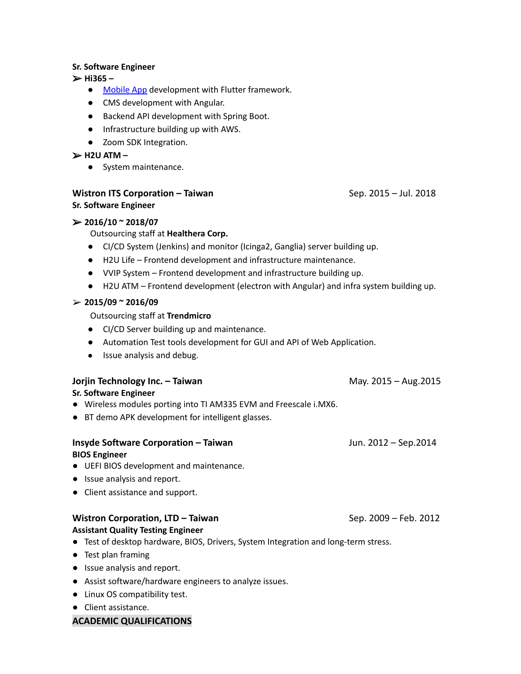#### **Sr. Software Engineer**

➢ **Hi365 –**

- [Mobile](https://appadvice.com/app/hi365-e5-81-a5-e5-ba-b7-e6-97-a5-e8-aa-8c/1478553718) App development with Flutter framework.
- CMS development with Angular.
- Backend API development with Spring Boot.
- Infrastructure building up with AWS.
- Zoom SDK Integration.

#### ➢ **H2U ATM –**

● System maintenance.

#### **Wistron ITS Corporation – Taiwan** Sep. 2015 – Jul. 2018

# **Sr. Software Engineer**

#### ➢ **2016/10 ~ 2018/07**

# Outsourcing staff at **Healthera Corp.**

- CI/CD System (Jenkins) and monitor (Icinga2, Ganglia) server building up.
- H2U Life Frontend development and infrastructure maintenance.
- VVIP System Frontend development and infrastructure building up.
- H2U ATM Frontend development (electron with Angular) and infra system building up.

#### ➢ **2015/09 ~ 2016/09**

Outsourcing staff at **Trendmicro**

- CI/CD Server building up and maintenance.
- Automation Test tools development for GUI and API of Web Application.
- Issue analysis and debug.

#### **Jorjin Technology Inc. – Taiwan** May. 2015 – Aug.2015 – Aug.2015

#### **Sr. Software Engineer**

- Wireless modules porting into TI AM335 EVM and Freescale i.MX6.
- BT demo APK development for intelligent glasses.

# **Insyde Software Corporation – Taiwan** Jun. 2012 – Sep.2014 **BIOS Engineer**

- UEFI BIOS development and maintenance.
- Issue analysis and report.
- Client assistance and support.

#### **Wistron Corporation, LTD – Taiwan** Sep. 2009 – Feb. 2012

#### **Assistant Quality Testing Engineer**

- Test of desktop hardware, BIOS, Drivers, System Integration and long-term stress.
- Test plan framing
- Issue analysis and report.
- Assist software/hardware engineers to analyze issues.
- Linux OS compatibility test.
- Client assistance.

#### **ACADEMIC QUALIFICATIONS**